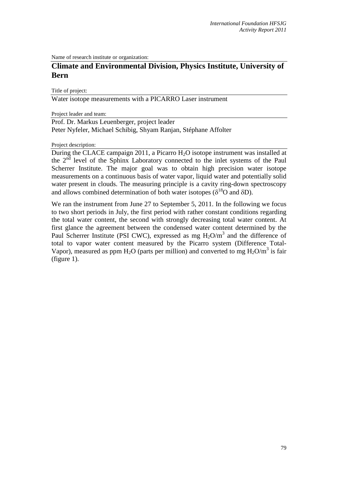Name of research institute or organization:

## **Climate and Environmental Division, Physics Institute, University of Bern**

Title of project:

Water isotope measurements with a PICARRO Laser instrument

Project leader and team:

Prof. Dr. Markus Leuenberger, project leader Peter Nyfeler, Michael Schibig, Shyam Ranjan, Stéphane Affolter

Project description:

During the CLACE campaign 2011, a Picarro H<sub>2</sub>O isotope instrument was installed at the  $2<sup>nd</sup>$  level of the Sphinx Laboratory connected to the inlet systems of the Paul Scherrer Institute. The major goal was to obtain high precision water isotope measurements on a continuous basis of water vapor, liquid water and potentially solid water present in clouds. The measuring principle is a cavity ring-down spectroscopy and allows combined determination of both water isotopes ( $\delta^{18}$ O and  $\delta$ D).

We ran the instrument from June 27 to September 5, 2011. In the following we focus to two short periods in July, the first period with rather constant conditions regarding the total water content, the second with strongly decreasing total water content. At first glance the agreement between the condensed water content determined by the Paul Scherrer Institute (PSI CWC), expressed as mg  $H_2O/m^3$  and the difference of total to vapor water content measured by the Picarro system (Difference Total-Vapor), measured as ppm  $H_2O$  (parts per million) and converted to mg  $H_2O/m^3$  is fair (figure 1).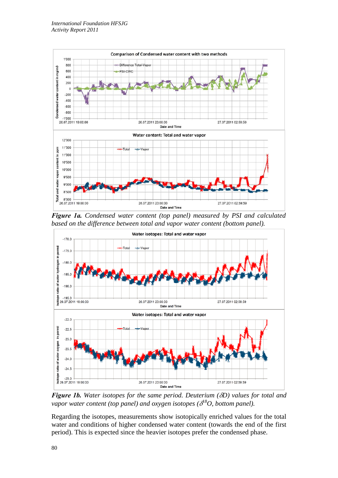

*Figure 1a. Condensed water content (top panel) measured by PSI and calculated based on the difference between total and vapor water content (bottom panel).* 



*Figure 1b. Water isotopes for the same period. Deuterium (*δ*D) values for total and vapor water content (top panel) and oxygen isotopes (*δ *18O, bottom panel).* 

Regarding the isotopes, measurements show isotopically enriched values for the total water and conditions of higher condensed water content (towards the end of the first period). This is expected since the heavier isotopes prefer the condensed phase.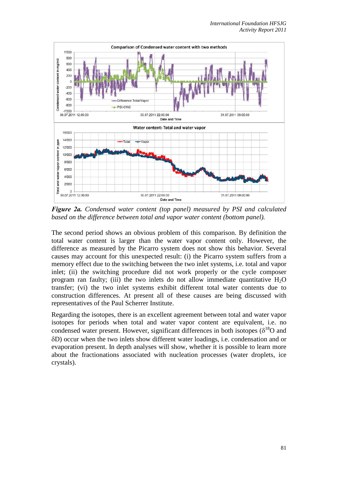

*Figure 2a. Condensed water content (top panel) measured by PSI and calculated based on the difference between total and vapor water content (bottom panel).* 

The second period shows an obvious problem of this comparison. By definition the total water content is larger than the water vapor content only. However, the difference as measured by the Picarro system does not show this behavior. Several causes may account for this unexpected result: (i) the Picarro system suffers from a memory effect due to the switching between the two inlet systems, i.e. total and vapor inlet; (ii) the switching procedure did not work properly or the cycle composer program ran faulty; (iii) the two inlets do not allow immediate quantitative  $H_2O$ transfer; (vi) the two inlet systems exhibit different total water contents due to construction differences. At present all of these causes are being discussed with representatives of the Paul Scherrer Institute.

Regarding the isotopes, there is an excellent agreement between total and water vapor isotopes for periods when total and water vapor content are equivalent, i.e. no condensed water present. However, significant differences in both isotopes ( $\delta^{18}O$  and δD) occur when the two inlets show different water loadings, i.e. condensation and or evaporation present. In depth analyses will show, whether it is possible to learn more about the fractionations associated with nucleation processes (water droplets, ice crystals).